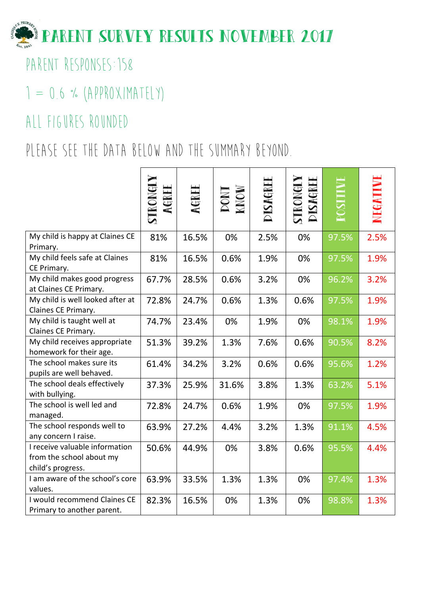

PARENT RESPONSES: 158

## $1 = 0.6$  % (APPROXIMATELY)

## All figures rounded

# PLEASE SEE THE DATA BELOW AND THE SUMMARY BEYOND.

|                                                                                 | STRONG<br>AGREI | AGREI | MON<br>MON | DISAGREE | DISAGRE<br>TRONGI |       |      |
|---------------------------------------------------------------------------------|-----------------|-------|------------|----------|-------------------|-------|------|
| My child is happy at Claines CE<br>Primary.                                     | 81%             | 16.5% | 0%         | 2.5%     | 0%                | 97.5% | 2.5% |
| My child feels safe at Claines<br>CE Primary.                                   | 81%             | 16.5% | 0.6%       | 1.9%     | 0%                | 97.5% | 1.9% |
| My child makes good progress<br>at Claines CE Primary.                          | 67.7%           | 28.5% | 0.6%       | 3.2%     | 0%                | 96.2% | 3.2% |
| My child is well looked after at<br>Claines CE Primary.                         | 72.8%           | 24.7% | 0.6%       | 1.3%     | 0.6%              | 97.5% | 1.9% |
| My child is taught well at<br>Claines CE Primary.                               | 74.7%           | 23.4% | 0%         | 1.9%     | 0%                | 98.1% | 1.9% |
| My child receives appropriate<br>homework for their age.                        | 51.3%           | 39.2% | 1.3%       | 7.6%     | 0.6%              | 90.5% | 8.2% |
| The school makes sure its<br>pupils are well behaved.                           | 61.4%           | 34.2% | 3.2%       | 0.6%     | 0.6%              | 95.6% | 1.2% |
| The school deals effectively<br>with bullying.                                  | 37.3%           | 25.9% | 31.6%      | 3.8%     | 1.3%              | 63.2% | 5.1% |
| The school is well led and<br>managed.                                          | 72.8%           | 24.7% | 0.6%       | 1.9%     | 0%                | 97.5% | 1.9% |
| The school responds well to<br>any concern I raise.                             | 63.9%           | 27.2% | 4.4%       | 3.2%     | 1.3%              | 91.1% | 4.5% |
| I receive valuable information<br>from the school about my<br>child's progress. | 50.6%           | 44.9% | 0%         | 3.8%     | 0.6%              | 95.5% | 4.4% |
| I am aware of the school's core<br>values.                                      | 63.9%           | 33.5% | 1.3%       | 1.3%     | 0%                | 97.4% | 1.3% |
| I would recommend Claines CE<br>Primary to another parent.                      | 82.3%           | 16.5% | 0%         | 1.3%     | 0%                | 98.8% | 1.3% |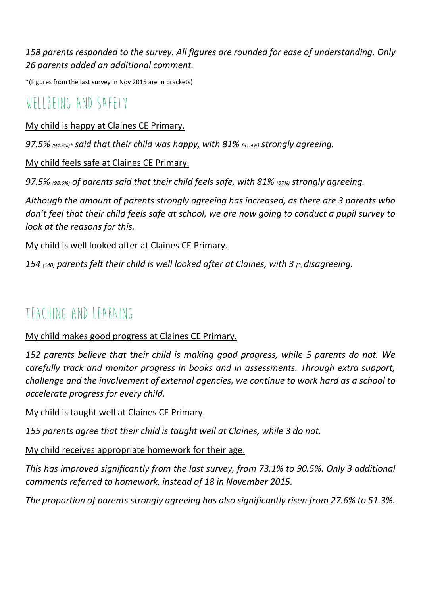*158 parents responded to the survey. All figures are rounded for ease of understanding. Only 26 parents added an additional comment.*

\*(Figures from the last survey in Nov 2015 are in brackets)

## WELLBEING AND SAFFTY

#### My child is happy at Claines CE Primary.

*97.5% (94.5%)\* said that their child was happy, with 81% (61.4%) strongly agreeing.* 

#### My child feels safe at Claines CE Primary.

*97.5% (98.6%) of parents said that their child feels safe, with 81% (67%) strongly agreeing.*

*Although the amount of parents strongly agreeing has increased, as there are 3 parents who don't feel that their child feels safe at school, we are now going to conduct a pupil survey to look at the reasons for this.*

#### My child is well looked after at Claines CE Primary.

*154 (140) parents felt their child is well looked after at Claines, with 3 (3) disagreeing.*

### TFACHING AND LEARNING

#### My child makes good progress at Claines CE Primary.

*152 parents believe that their child is making good progress, while 5 parents do not. We carefully track and monitor progress in books and in assessments. Through extra support, challenge and the involvement of external agencies, we continue to work hard as a school to accelerate progress for every child.*

#### My child is taught well at Claines CE Primary.

*155 parents agree that their child is taught well at Claines, while 3 do not.* 

#### My child receives appropriate homework for their age.

*This has improved significantly from the last survey, from 73.1% to 90.5%. Only 3 additional comments referred to homework, instead of 18 in November 2015.*

*The proportion of parents strongly agreeing has also significantly risen from 27.6% to 51.3%.*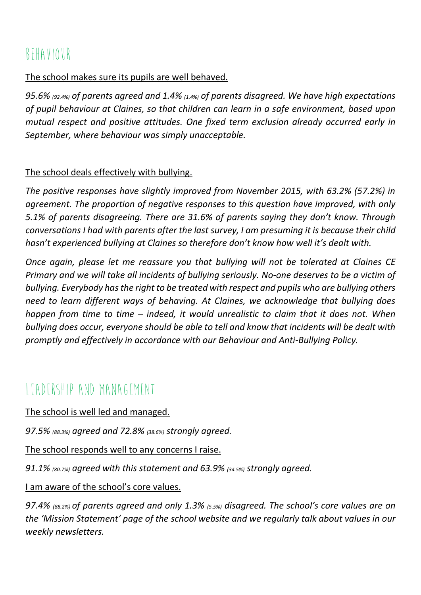## Behaviour

#### The school makes sure its pupils are well behaved.

*95.6% (92.4%) of parents agreed and 1.4% (1.4%) of parents disagreed. We have high expectations of pupil behaviour at Claines, so that children can learn in a safe environment, based upon mutual respect and positive attitudes. One fixed term exclusion already occurred early in September, where behaviour was simply unacceptable.*

#### The school deals effectively with bullying.

*The positive responses have slightly improved from November 2015, with 63.2% (57.2%) in agreement. The proportion of negative responses to this question have improved, with only 5.1% of parents disagreeing. There are 31.6% of parents saying they don't know. Through conversations I had with parents after the last survey, I am presuming it is because their child hasn't experienced bullying at Claines so therefore don't know how well it's dealt with.*

*Once again, please let me reassure you that bullying will not be tolerated at Claines CE Primary and we will take all incidents of bullying seriously. No-one deserves to be a victim of bullying. Everybody has the right to be treated with respect and pupils who are bullying others need to learn different ways of behaving. At Claines, we acknowledge that bullying does happen from time to time – indeed, it would unrealistic to claim that it does not. When bullying does occur, everyone should be able to tell and know that incidents will be dealt with promptly and effectively in accordance with our Behaviour and Anti-Bullying Policy.*

## Leadership and Management

The school is well led and managed.

*97.5% (88.3%) agreed and 72.8% (38.6%) strongly agreed.*

The school responds well to any concerns I raise.

*91.1% (80.7%) agreed with this statement and 63.9% (34.5%) strongly agreed.* 

I am aware of the school's core values.

*97.4% (88.2%) of parents agreed and only 1.3% (5.5%) disagreed. The school's core values are on the 'Mission Statement' page of the school website and we regularly talk about values in our weekly newsletters.*